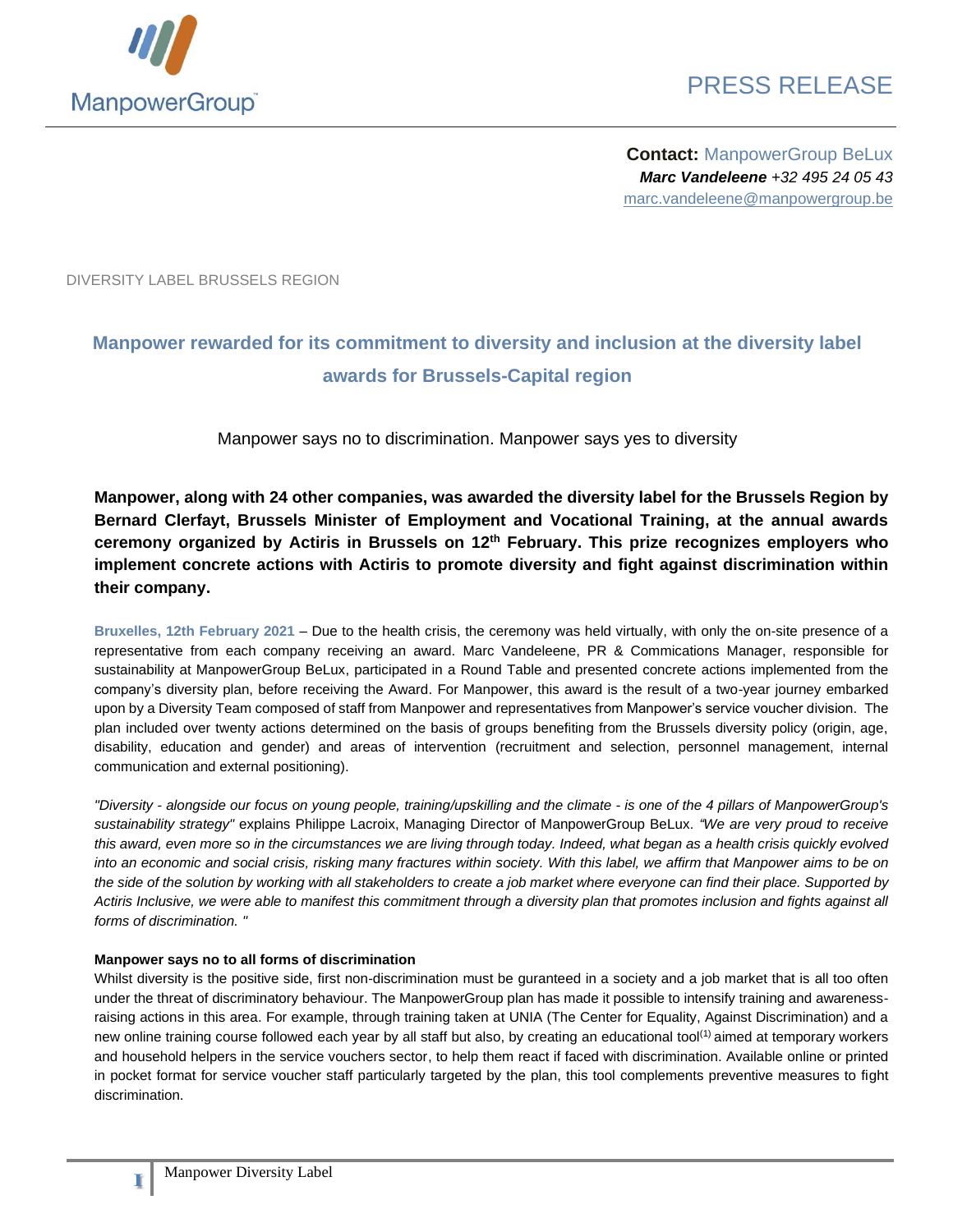

**Contact:** ManpowerGroup BeLux *Marc Vandeleene +32 495 24 05 43* marc.vandeleene@manpowergroup.be

DIVERSITY LABEL BRUSSELS REGION

## **Manpower rewarded for its commitment to diversity and inclusion at the diversity label awards for Brussels-Capital region**

Manpower says no to discrimination. Manpower says yes to diversity

**Manpower, along with 24 other companies, was awarded the diversity label for the Brussels Region by Bernard Clerfayt, Brussels Minister of Employment and Vocational Training, at the annual awards ceremony organized by Actiris in Brussels on 12th February. This prize recognizes employers who implement concrete actions with Actiris to promote diversity and fight against discrimination within their company.**

**Bruxelles, 12th February 2021** – Due to the health crisis, the ceremony was held virtually, with only the on-site presence of a representative from each company receiving an award. Marc Vandeleene, PR & Commications Manager, responsible for sustainability at ManpowerGroup BeLux, participated in a Round Table and presented concrete actions implemented from the company's diversity plan, before receiving the Award. For Manpower, this award is the result of a two-year journey embarked upon by a Diversity Team composed of staff from Manpower and representatives from Manpower's service voucher division. The plan included over twenty actions determined on the basis of groups benefiting from the Brussels diversity policy (origin, age, disability, education and gender) and areas of intervention (recruitment and selection, personnel management, internal communication and external positioning).

*"Diversity - alongside our focus on young people, training/upskilling and the climate - is one of the 4 pillars of ManpowerGroup's sustainability strategy"* explains Philippe Lacroix, Managing Director of ManpowerGroup BeLux*. "We are very proud to receive this award, even more so in the circumstances we are living through today. Indeed, what began as a health crisis quickly evolved into an economic and social crisis, risking many fractures within society. With this label, we affirm that Manpower aims to be on the side of the solution by working with all stakeholders to create a job market where everyone can find their place. Supported by Actiris Inclusive, we were able to manifest this commitment through a diversity plan that promotes inclusion and fights against all forms of discrimination. "*

#### **Manpower says no to all forms of discrimination**

Whilst diversity is the positive side, first non-discrimination must be guranteed in a society and a job market that is all too often under the threat of discriminatory behaviour. The ManpowerGroup plan has made it possible to intensify training and awarenessraising actions in this area. For example, through training taken at UNIA (The Center for Equality, Against Discrimination) and a new online training course followed each year by all staff but also, by creating an educational tool<sup>(1)</sup> aimed at temporary workers and household helpers in the service vouchers sector, to help them react if faced with discrimination. Available online or printed in pocket format for service voucher staff particularly targeted by the plan, this tool complements preventive measures to fight discrimination.

**1**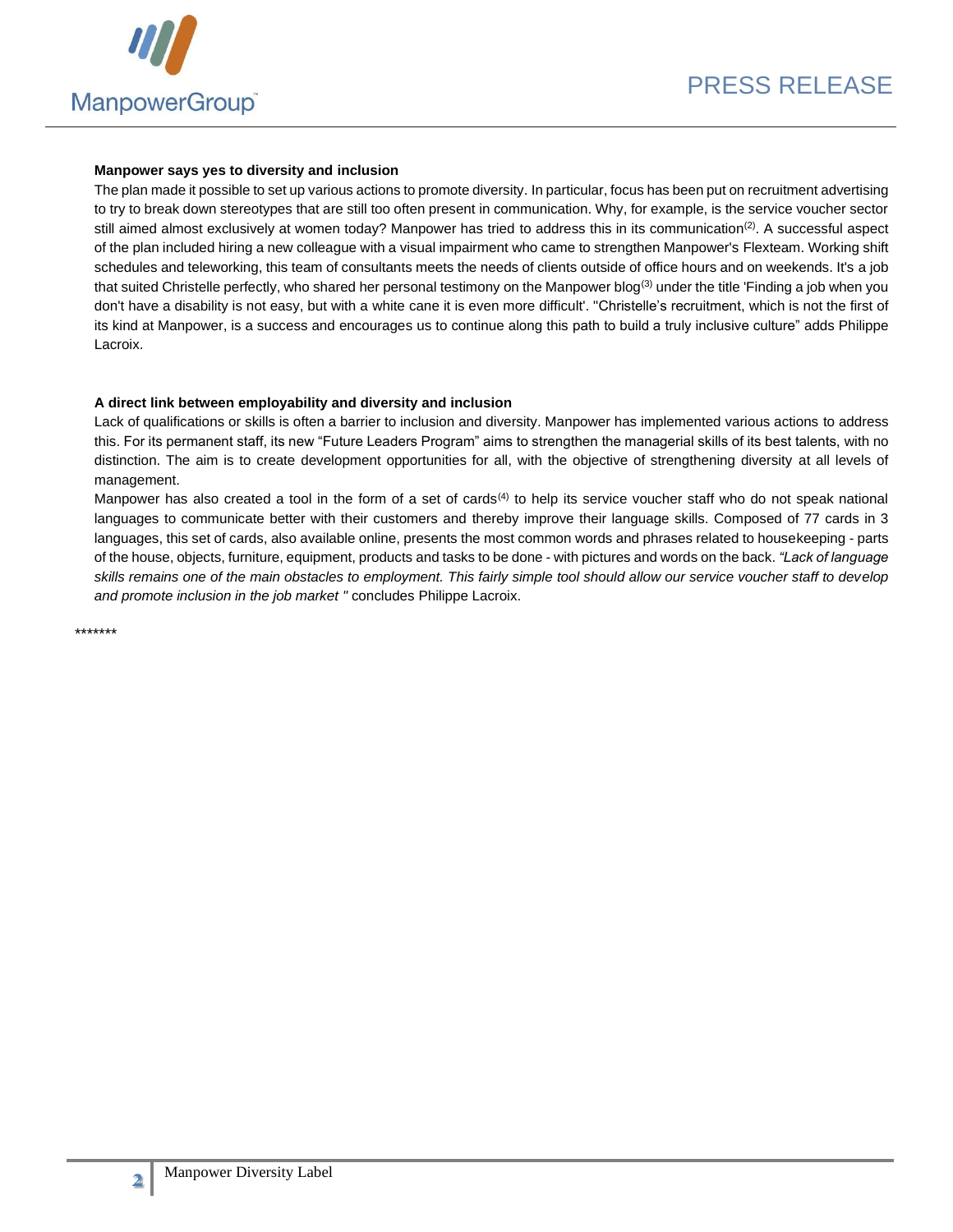

#### **Manpower says yes to diversity and inclusion**

The plan made it possible to set up various actions to promote diversity. In particular, focus has been put on recruitment advertising to try to break down stereotypes that are still too often present in communication. Why, for example, is the service voucher sector still aimed almost exclusively at women today? Manpower has tried to address this in its communication<sup>(2)</sup>. A successful aspect of the plan included hiring a new colleague with a visual impairment who came to strengthen Manpower's Flexteam. Working shift schedules and teleworking, this team of consultants meets the needs of clients outside of office hours and on weekends. It's a job that suited Christelle perfectly, who shared her personal testimony on the Manpower blog<sup>(3)</sup> under the title 'Finding a job when you don't have a disability is not easy, but with a white cane it is even more difficult'. "Christelle's recruitment, which is not the first of its kind at Manpower, is a success and encourages us to continue along this path to build a truly inclusive culture" adds Philippe Lacroix.

### **A direct link between employability and diversity and inclusion**

Lack of qualifications or skills is often a barrier to inclusion and diversity. Manpower has implemented various actions to address this. For its permanent staff, its new "Future Leaders Program" aims to strengthen the managerial skills of its best talents, with no distinction. The aim is to create development opportunities for all, with the objective of strengthening diversity at all levels of management.

Manpower has also created a tool in the form of a set of cards<sup>(4)</sup> to help its service voucher staff who do not speak national languages to communicate better with their customers and thereby improve their language skills. Composed of 77 cards in 3 languages, this set of cards, also available online, presents the most common words and phrases related to housekeeping - parts of the house, objects, furniture, equipment, products and tasks to be done - with pictures and words on the back. *"Lack of language skills remains one of the main obstacles to employment. This fairly simple tool should allow our service voucher staff to develop and promote inclusion in the job market "* concludes Philippe Lacroix.

\*\*\*\*\*\*\*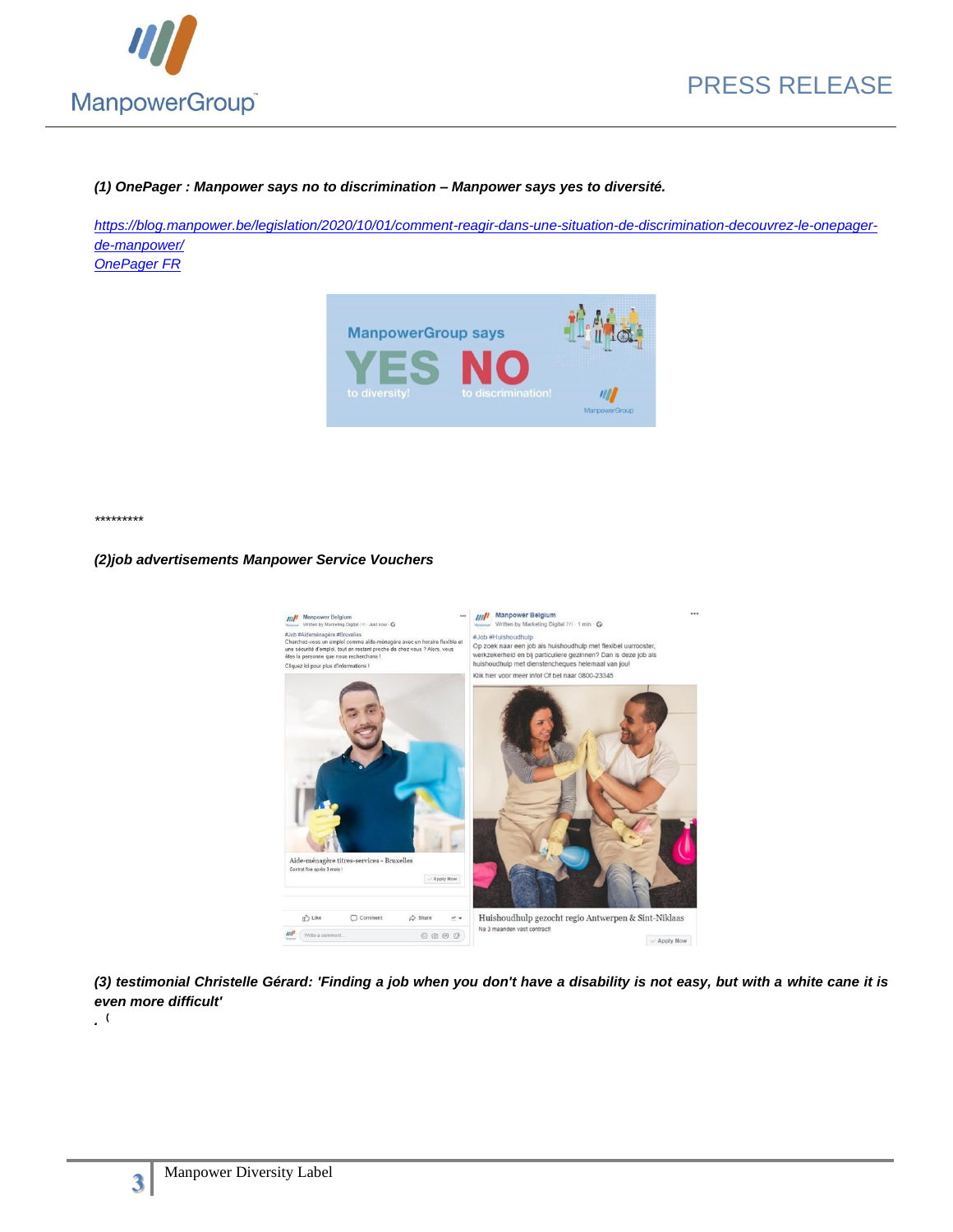

### *(1) OnePager : Manpower says no to discrimination – Manpower says yes to diversité.*

*[https://blog.manpower.be/legislation/2020/10/01/comment-reagir-dans-une-situation-de-discrimination-decouvrez-le-onepager](https://blog.manpower.be/legislation/2020/10/01/comment-reagir-dans-une-situation-de-discrimination-decouvrez-le-onepager-de-manpower/)[de-manpower/](https://blog.manpower.be/legislation/2020/10/01/comment-reagir-dans-une-situation-de-discrimination-decouvrez-le-onepager-de-manpower/) [OnePager FR](https://mcusercontent.com/be1ced7e69e6aa67c01e6b11c/files/d249a78d-f49f-43c1-aa39-f255255ad0fd/FR_TS_WEB_onepager_non_discrimination_150920.pdf)*

> **ManpowerGroup says** Manpo

*\*\*\*\*\*\*\*\*\**

#### *(2)job advertisements Manpower Service Vouchers*



*(3) testimonial Christelle Gérard: 'Finding a job when you don't have a disability is not easy, but with a white cane it is even more difficult'*



*.*  **(**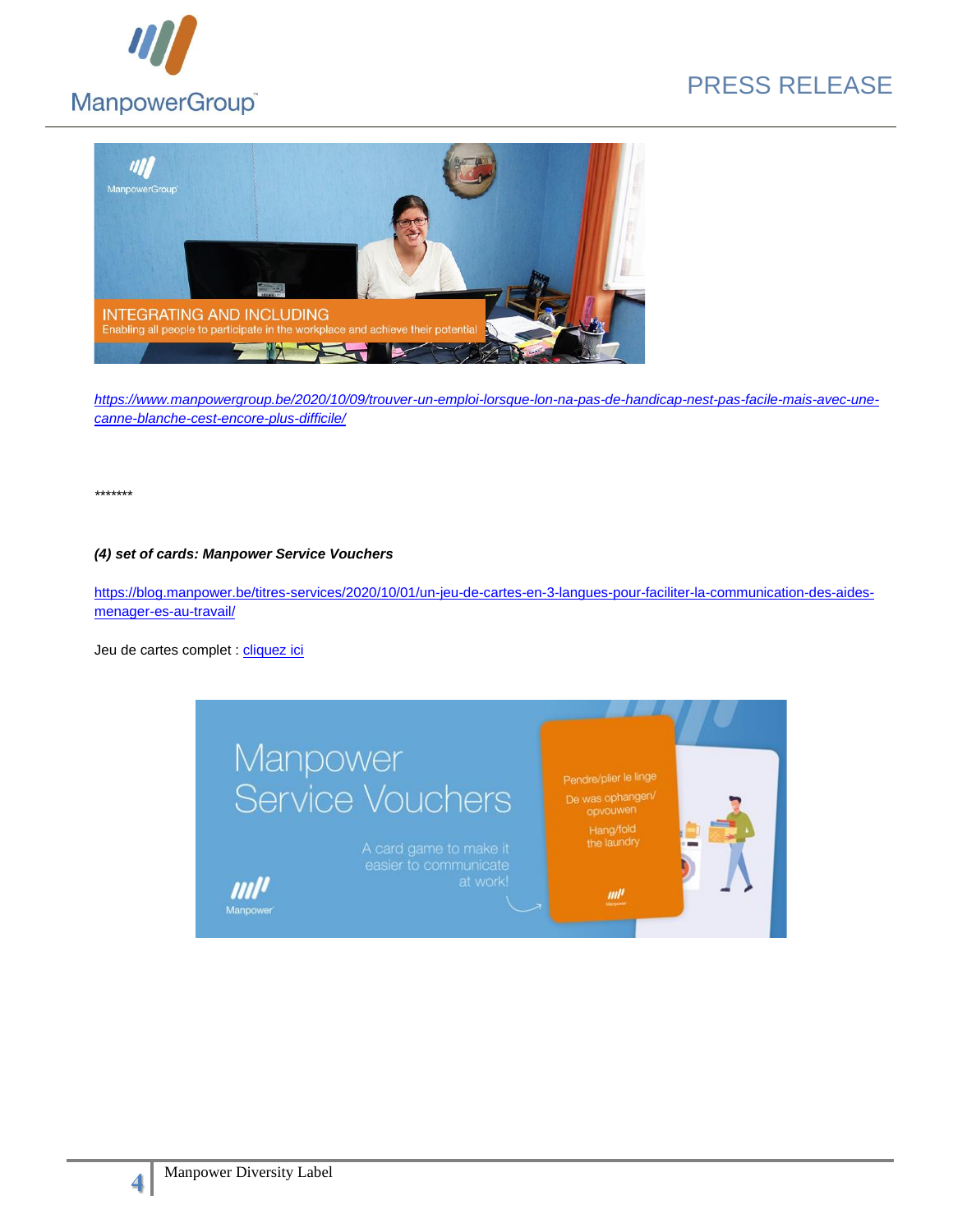



*[https://www.manpowergroup.be/2020/10/09/trouver-un-emploi-lorsque-lon-na-pas-de-handicap-nest-pas-facile-mais-avec-une](https://www.manpowergroup.be/2020/10/09/trouver-un-emploi-lorsque-lon-na-pas-de-handicap-nest-pas-facile-mais-avec-une-canne-blanche-cest-encore-plus-difficile/)[canne-blanche-cest-encore-plus-difficile/](https://www.manpowergroup.be/2020/10/09/trouver-un-emploi-lorsque-lon-na-pas-de-handicap-nest-pas-facile-mais-avec-une-canne-blanche-cest-encore-plus-difficile/)*

*\*\*\*\*\*\*\**

#### *(4) set of cards: Manpower Service Vouchers*

[https://blog.manpower.be/titres-services/2020/10/01/un-jeu-de-cartes-en-3-langues-pour-faciliter-la-communication-des-aides](https://blog.manpower.be/titres-services/2020/10/01/un-jeu-de-cartes-en-3-langues-pour-faciliter-la-communication-des-aides-menager-es-au-travail/)[menager-es-au-travail/](https://blog.manpower.be/titres-services/2020/10/01/un-jeu-de-cartes-en-3-langues-pour-faciliter-la-communication-des-aides-menager-es-au-travail/)

Jeu de cartes complet : [cliquez ici](https://mcusercontent.com/be1ced7e69e6aa67c01e6b11c/files/d10d532b-cd26-4ea1-9f7f-4304274ffde1/cards_Manpower_TS_DC_web_092020.pdf)



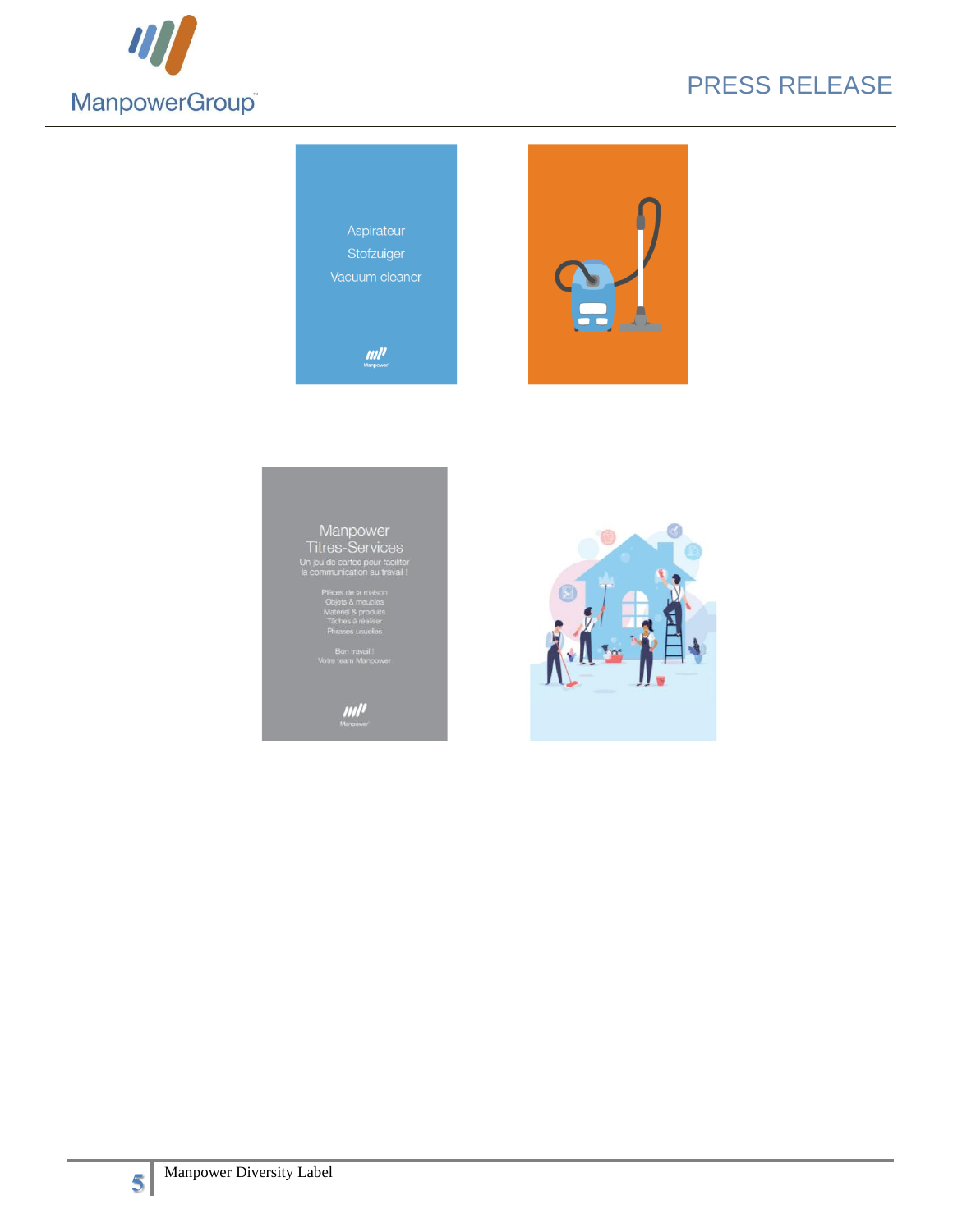